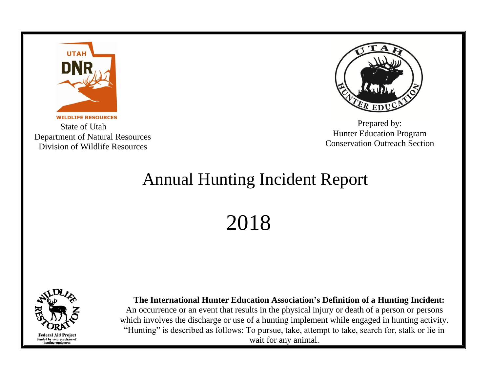

 State of Utah Department of Natural Resources Division of Wildlife Resources



Prepared by: Hunter Education Program Conservation Outreach Section

## Annual Hunting Incident Report

2018



 **The International Hunter Education Association's Definition of a Hunting Incident:** An occurrence or an event that results in the physical injury or death of a person or persons which involves the discharge or use of a hunting implement while engaged in hunting activity. "Hunting" is described as follows: To pursue, take, attempt to take, search for, stalk or lie in wait for any animal.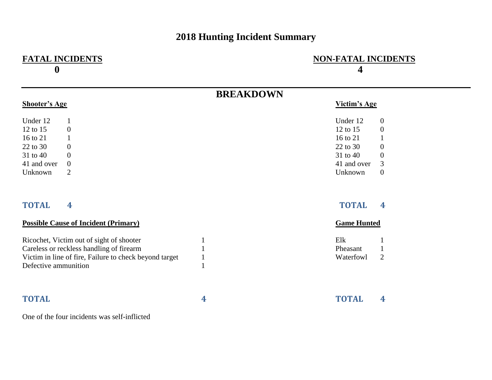## **2018 Hunting Incident Summary**

| <b>FATAL INCIDENTS</b><br>$\boldsymbol{0}$             |                  | <b>NON-FATAL INCIDENTS</b><br>4         |  |  |
|--------------------------------------------------------|------------------|-----------------------------------------|--|--|
|                                                        | <b>BREAKDOWN</b> |                                         |  |  |
| <b>Shooter's Age</b>                                   |                  | <b>Victim's Age</b>                     |  |  |
| Under 12<br>1                                          |                  | Under 12<br>$\mathbf{0}$                |  |  |
| 12 to 15<br>$\boldsymbol{0}$                           |                  | 12 to 15<br>$\theta$                    |  |  |
| 16 to 21<br>$\mathbf{1}$                               |                  | 16 to 21<br>$\mathbf{1}$                |  |  |
| 22 to 30<br>$\overline{0}$                             |                  | 22 to 30<br>$\overline{0}$              |  |  |
| 31 to 40<br>$\overline{0}$                             |                  | 31 to 40<br>$\overline{0}$              |  |  |
| $\overline{0}$<br>41 and over                          |                  | 3<br>41 and over                        |  |  |
| $\overline{2}$<br>Unknown                              |                  | $\boldsymbol{0}$<br>Unknown             |  |  |
| $\overline{\mathbf{4}}$<br><b>TOTAL</b>                |                  | <b>TOTAL</b><br>$\overline{\mathbf{4}}$ |  |  |
| <b>Possible Cause of Incident (Primary)</b>            |                  | <b>Game Hunted</b>                      |  |  |
| Ricochet, Victim out of sight of shooter               |                  | Elk                                     |  |  |
| Careless or reckless handling of firearm               |                  | Pheasant<br>$\mathbf{1}$                |  |  |
| Victim in line of fire, Failure to check beyond target | $\mathbf{1}$     | $\overline{2}$<br>Waterfowl             |  |  |
| Defective ammunition                                   |                  |                                         |  |  |
| <b>TOTAL</b>                                           | 4                | <b>TOTAL</b><br>$\overline{4}$          |  |  |
| One of the four incidents wesself inflicted            |                  |                                         |  |  |

One of the four incidents was self-inflicted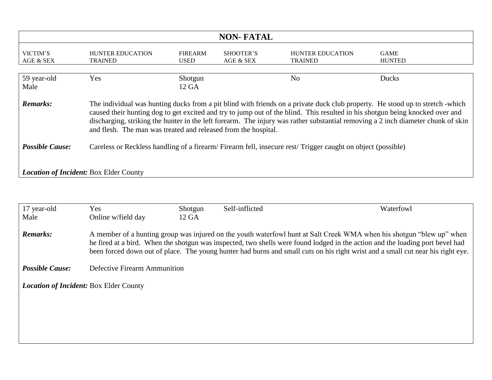| <b>NON-FATAL</b>                                                                                                                                                                                                                                                                                                                                                                                                                                                                        |                                           |                               |                        |                                           |                              |
|-----------------------------------------------------------------------------------------------------------------------------------------------------------------------------------------------------------------------------------------------------------------------------------------------------------------------------------------------------------------------------------------------------------------------------------------------------------------------------------------|-------------------------------------------|-------------------------------|------------------------|-------------------------------------------|------------------------------|
| VICTIM'S<br>AGE & SEX                                                                                                                                                                                                                                                                                                                                                                                                                                                                   | <b>HUNTER EDUCATION</b><br><b>TRAINED</b> | <b>FIREARM</b><br><b>USED</b> | SHOOTER'S<br>AGE & SEX | <b>HUNTER EDUCATION</b><br><b>TRAINED</b> | <b>GAME</b><br><b>HUNTED</b> |
| 59 year-old<br>Male                                                                                                                                                                                                                                                                                                                                                                                                                                                                     | Yes                                       | Shotgun<br>12 GA              |                        | N <sub>o</sub>                            | Ducks                        |
| <b>Remarks:</b><br>The individual was hunting ducks from a pit blind with friends on a private duck club property. He stood up to stretch -which<br>caused their hunting dog to get excited and try to jump out of the blind. This resulted in his shotgun being knocked over and<br>discharging, striking the hunter in the left forearm. The injury was rather substantial removing a 2 inch diameter chunk of skin<br>and flesh. The man was treated and released from the hospital. |                                           |                               |                        |                                           |                              |
| <b>Possible Cause:</b><br>Careless or Reckless handling of a firearm/Firearm fell, insecure rest/Trigger caught on object (possible)                                                                                                                                                                                                                                                                                                                                                    |                                           |                               |                        |                                           |                              |
| <b>Location of Incident: Box Elder County</b>                                                                                                                                                                                                                                                                                                                                                                                                                                           |                                           |                               |                        |                                           |                              |

| 17 year-old                                   | Yes                          | Shotgun | Self-inflicted | Waterfowl                                                                                                                                                                                                                                                                                                                                                                                 |  |
|-----------------------------------------------|------------------------------|---------|----------------|-------------------------------------------------------------------------------------------------------------------------------------------------------------------------------------------------------------------------------------------------------------------------------------------------------------------------------------------------------------------------------------------|--|
| Male                                          | Online w/field day           | 12 GA   |                |                                                                                                                                                                                                                                                                                                                                                                                           |  |
| <b>Remarks:</b>                               |                              |         |                | A member of a hunting group was injured on the youth waterfowl hunt at Salt Creek WMA when his shotgun "blew up" when<br>he fired at a bird. When the shotgun was inspected, two shells were found lodged in the action and the loading port bevel had<br>been forced down out of place. The young hunter had burns and small cuts on his right wrist and a small cut near his right eye. |  |
| <b>Possible Cause:</b>                        | Defective Firearm Ammunition |         |                |                                                                                                                                                                                                                                                                                                                                                                                           |  |
| <b>Location of Incident: Box Elder County</b> |                              |         |                |                                                                                                                                                                                                                                                                                                                                                                                           |  |
|                                               |                              |         |                |                                                                                                                                                                                                                                                                                                                                                                                           |  |
|                                               |                              |         |                |                                                                                                                                                                                                                                                                                                                                                                                           |  |